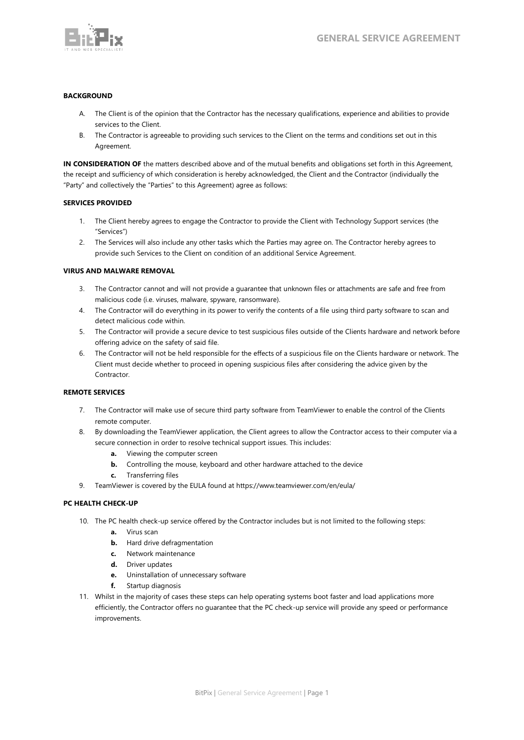

## **BACKGROUND**

- A. The Client is of the opinion that the Contractor has the necessary qualifications, experience and abilities to provide services to the Client.
- B. The Contractor is agreeable to providing such services to the Client on the terms and conditions set out in this Agreement.

**IN CONSIDERATION OF** the matters described above and of the mutual benefits and obligations set forth in this Agreement, the receipt and sufficiency of which consideration is hereby acknowledged, the Client and the Contractor (individually the "Party" and collectively the "Parties" to this Agreement) agree as follows:

## **SERVICES PROVIDED**

- 1. The Client hereby agrees to engage the Contractor to provide the Client with Technology Support services (the "Services")
- 2. The Services will also include any other tasks which the Parties may agree on. The Contractor hereby agrees to provide such Services to the Client on condition of an additional Service Agreement.

## **VIRUS AND MALWARE REMOVAL**

- 3. The Contractor cannot and will not provide a guarantee that unknown files or attachments are safe and free from malicious code (i.e. viruses, malware, spyware, ransomware).
- 4. The Contractor will do everything in its power to verify the contents of a file using third party software to scan and detect malicious code within.
- 5. The Contractor will provide a secure device to test suspicious files outside of the Clients hardware and network before offering advice on the safety of said file.
- 6. The Contractor will not be held responsible for the effects of a suspicious file on the Clients hardware or network. The Client must decide whether to proceed in opening suspicious files after considering the advice given by the Contractor.

## **REMOTE SERVICES**

- 7. The Contractor will make use of secure third party software from TeamViewer to enable the control of the Clients remote computer.
- 8. By downloading the TeamViewer application, the Client agrees to allow the Contractor access to their computer via a secure connection in order to resolve technical support issues. This includes:
	- **a.** Viewing the computer screen
	- **b.** Controlling the mouse, keyboard and other hardware attached to the device
	- **c.** Transferring files
- 9. TeamViewer is covered by the EULA found at https://www.teamviewer.com/en/eula/

## **PC HEALTH CHECK-UP**

- 10. The PC health check-up service offered by the Contractor includes but is not limited to the following steps:
	- **a.** Virus scan
	- **b.** Hard drive defragmentation
	- **c.** Network maintenance
	- **d.** Driver updates
	- **e.** Uninstallation of unnecessary software
	- **f.** Startup diagnosis
- 11. Whilst in the majority of cases these steps can help operating systems boot faster and load applications more efficiently, the Contractor offers no guarantee that the PC check-up service will provide any speed or performance improvements.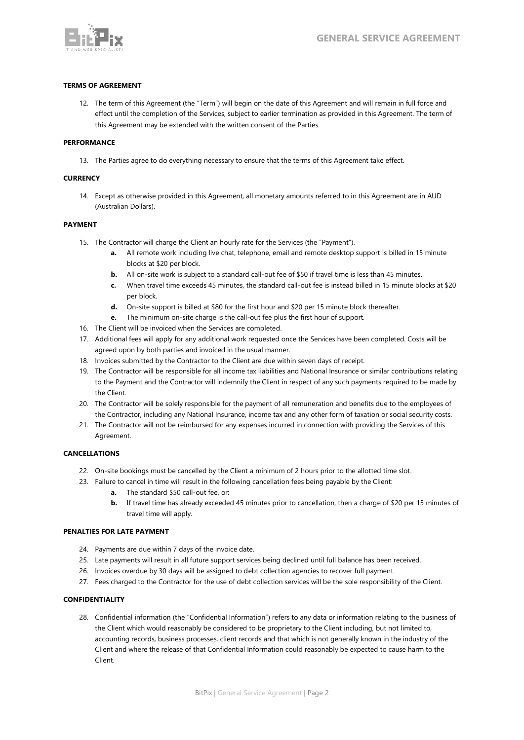

# **TERMS OF AGREEMENT**

12. The term of this Agreement (the "Term") will begin on the date of this Agreement and will remain in full force and effect until the completion of the Services, subject to earlier termination as provided in this Agreement. The term of this Agreement may be extended with the written consent of the Parties.

### **PERFORMANCE**

13. The Parties agree to do everything necessary to ensure that the terms of this Agreement take effect.

#### **CURRENCY**

14. Except as otherwise provided in this Agreement, all monetary amounts referred to in this Agreement are in AUD (Australian Dollars).

#### **PAYMENT**

- 15. The Contractor will charge the Client an hourly rate for the Services (the "Payment").
	- **a.** All remote work including live chat, telephone, email and remote desktop support is billed in 15 minute blocks at \$20 per block.
	- **b.** All on-site work is subject to a standard call-out fee of \$50 if travel time is less than 45 minutes.
	- **c.** When travel time exceeds 45 minutes, the standard call-out fee is instead billed in 15 minute blocks at \$20 per block.
	- **d.** On-site support is billed at \$80 for the first hour and \$20 per 15 minute block thereafter.
	- **e.** The minimum on-site charge is the call-out fee plus the first hour of support.
- 16. The Client will be invoiced when the Services are completed.
- 17. Additional fees will apply for any additional work requested once the Services have been completed. Costs will be agreed upon by both parties and invoiced in the usual manner.
- 18. Invoices submitted by the Contractor to the Client are due within seven days of receipt.
- 19. The Contractor will be responsible for all income tax liabilities and National Insurance or similar contributions relating to the Payment and the Contractor will indemnify the Client in respect of any such payments required to be made by the Client.
- 20. The Contractor will be solely responsible for the payment of all remuneration and benefits due to the employees of the Contractor, including any National Insurance, income tax and any other form of taxation or social security costs.
- 21. The Contractor will not be reimbursed for any expenses incurred in connection with providing the Services of this Agreement.

## **CANCELLATIONS**

- 22. On-site bookings must be cancelled by the Client a minimum of 2 hours prior to the allotted time slot.
- 23. Failure to cancel in time will result in the following cancellation fees being payable by the Client:
	- **a.** The standard \$50 call-out fee, or:
	- **b.** If travel time has already exceeded 45 minutes prior to cancellation, then a charge of \$20 per 15 minutes of travel time will apply.

#### **PENALTIES FOR LATE PAYMENT**

- 24. Payments are due within 7 days of the invoice date.
- 25. Late payments will result in all future support services being declined until full balance has been received.
- 26. Invoices overdue by 30 days will be assigned to debt collection agencies to recover full payment.
- 27. Fees charged to the Contractor for the use of debt collection services will be the sole responsibility of the Client.

## **CONFIDENTIALITY**

28. Confidential information (the "Confidential Information") refers to any data or information relating to the business of the Client which would reasonably be considered to be proprietary to the Client including, but not limited to, accounting records, business processes, client records and that which is not generally known in the industry of the Client and where the release of that Confidential Information could reasonably be expected to cause harm to the Client.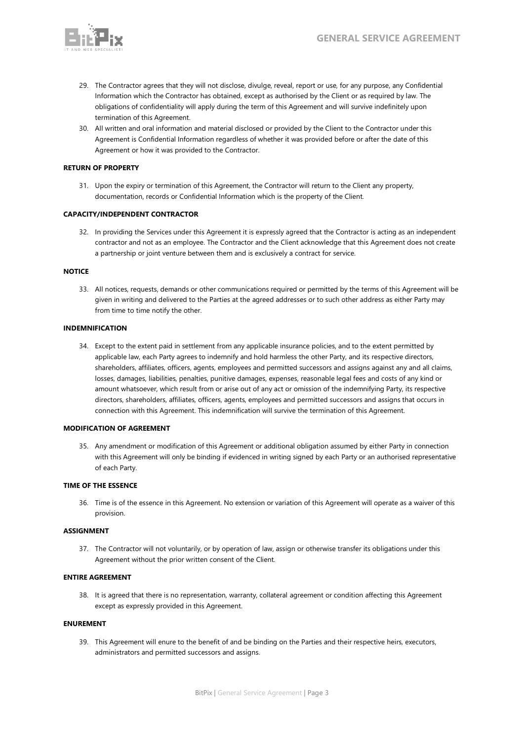

- 29. The Contractor agrees that they will not disclose, divulge, reveal, report or use, for any purpose, any Confidential Information which the Contractor has obtained, except as authorised by the Client or as required by law. The obligations of confidentiality will apply during the term of this Agreement and will survive indefinitely upon termination of this Agreement.
- 30. All written and oral information and material disclosed or provided by the Client to the Contractor under this Agreement is Confidential Information regardless of whether it was provided before or after the date of this Agreement or how it was provided to the Contractor.

## **RETURN OF PROPERTY**

31. Upon the expiry or termination of this Agreement, the Contractor will return to the Client any property, documentation, records or Confidential Information which is the property of the Client.

#### **CAPACITY/INDEPENDENT CONTRACTOR**

32. In providing the Services under this Agreement it is expressly agreed that the Contractor is acting as an independent contractor and not as an employee. The Contractor and the Client acknowledge that this Agreement does not create a partnership or joint venture between them and is exclusively a contract for service.

#### **NOTICE**

33. All notices, requests, demands or other communications required or permitted by the terms of this Agreement will be given in writing and delivered to the Parties at the agreed addresses or to such other address as either Party may from time to time notify the other.

#### **INDEMNIFICATION**

34. Except to the extent paid in settlement from any applicable insurance policies, and to the extent permitted by applicable law, each Party agrees to indemnify and hold harmless the other Party, and its respective directors, shareholders, affiliates, officers, agents, employees and permitted successors and assigns against any and all claims, losses, damages, liabilities, penalties, punitive damages, expenses, reasonable legal fees and costs of any kind or amount whatsoever, which result from or arise out of any act or omission of the indemnifying Party, its respective directors, shareholders, affiliates, officers, agents, employees and permitted successors and assigns that occurs in connection with this Agreement. This indemnification will survive the termination of this Agreement.

#### **MODIFICATION OF AGREEMENT**

35. Any amendment or modification of this Agreement or additional obligation assumed by either Party in connection with this Agreement will only be binding if evidenced in writing signed by each Party or an authorised representative of each Party.

#### **TIME OF THE ESSENCE**

36. Time is of the essence in this Agreement. No extension or variation of this Agreement will operate as a waiver of this provision.

#### **ASSIGNMENT**

37. The Contractor will not voluntarily, or by operation of law, assign or otherwise transfer its obligations under this Agreement without the prior written consent of the Client.

#### **ENTIRE AGREEMENT**

38. It is agreed that there is no representation, warranty, collateral agreement or condition affecting this Agreement except as expressly provided in this Agreement.

#### **ENUREMENT**

39. This Agreement will enure to the benefit of and be binding on the Parties and their respective heirs, executors, administrators and permitted successors and assigns.